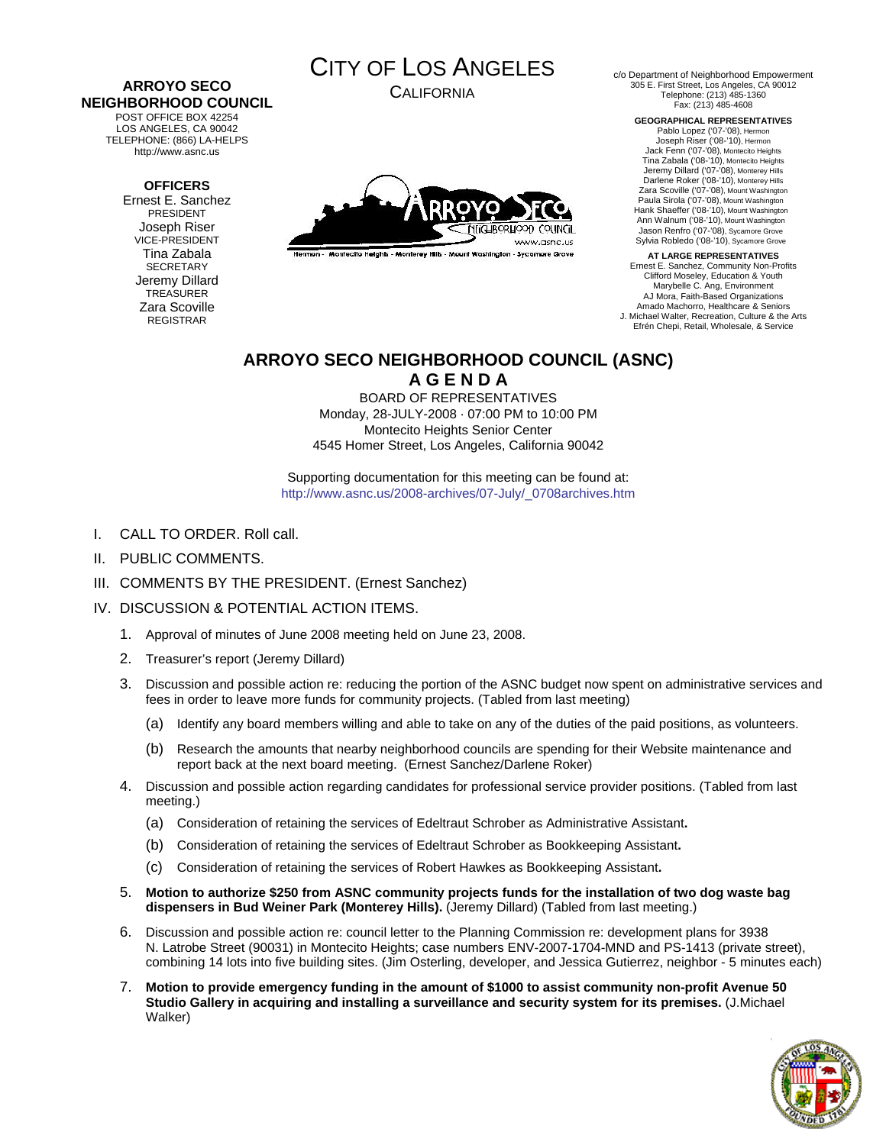#### **ARROYO SECO NEIGHBORHOOD COUNCIL**  POST OFFICE BOX 42254

LOS ANGELES, CA 90042 TELEPHONE: (866) LA-HELPS http://www.asnc.us

# **OFFICERS**

Ernest E. Sanchez PRESIDENT Joseph Riser VICE-PRESIDENT Tina Zabala **SECRETARY** Jeremy Dillard TREASURER Zara Scoville REGISTRAR



CALIFORNIA



Hermon - Montecito Heights - Monterey Hills - Mount Washington - Sycamore Grove

c/o Department of Neighborhood Empowerment 305 E. First Street, Los Angeles, CA 90012 Telephone: (213) 485-1360 Fax: (213) 485-4608

> **GEOGRAPHICAL REPRESENTATIVES**  Pablo Lopez ('07-'08), Hermon Joseph Riser ('08-'10), Hermon Jack Fenn ('07-'08), Montecito Heights Tina Zabala ('08-'10), Montecito Heights Jeremy Dillard ('07-'08), Monterey Hills Darlene Roker ('08-'10), Monterey Hills Zara Scoville ('07-'08), Mount Washington Paula Sirola ('07-'08), Mount Washington Hank Shaeffer ('08-'10), Mount Washington Ann Walnum ('08-'10), Mount Washington Jason Renfro ('07-'08), Sycamore Grove Sylvia Robledo ('08-'10), Sycamore Grove

**AT LARGE REPRESENTATIVES**  Ernest E. Sanchez, Community Non-Profits Clifford Moseley, Education & Youth Marybelle C. Ang, Environment AJ Mora, Faith-Based Organizations Amado Machorro, Healthcare & Seniors J. Michael Walter, Recreation, Culture & the Arts Efrén Chepi, Retail, Wholesale, & Service

# **ARROYO SECO NEIGHBORHOOD COUNCIL (ASNC)**

**A G E N D A** 

BOARD OF REPRESENTATIVES Monday, 28-JULY-2008 · 07:00 PM to 10:00 PM Montecito Heights Senior Center 4545 Homer Street, Los Angeles, California 90042

Supporting documentation for this meeting can be found at: [http://www.asnc.us/2008-archives/07-July/\\_0708archives.htm](http://www.asnc.us/2008-archives/07-July/_0708archives.htm)

- I. CALL TO ORDER. Roll call.
- II. PUBLIC COMMENTS.
- III. COMMENTS BY THE PRESIDENT. (Ernest Sanchez)

# IV. DISCUSSION & POTENTIAL ACTION ITEMS.

- 1. Approval of minutes of June 2008 meeting held on June 23, 2008.
- 2. Treasurer's report (Jeremy Dillard)
- 3. Discussion and possible action re: reducing the portion of the ASNC budget now spent on administrative services and fees in order to leave more funds for community projects. (Tabled from last meeting)
	- (a) Identify any board members willing and able to take on any of the duties of the paid positions, as volunteers.
	- (b) Research the amounts that nearby neighborhood councils are spending for their Website maintenance and report back at the next board meeting. (Ernest Sanchez/Darlene Roker)
- 4. Discussion and possible action regarding candidates for professional service provider positions. (Tabled from last meeting.)
	- (a) Consideration of retaining the services of Edeltraut Schrober as Administrative Assistant**.**
	- (b) Consideration of retaining the services of Edeltraut Schrober as Bookkeeping Assistant**.**
	- (c) Consideration of retaining the services of Robert Hawkes as Bookkeeping Assistant**.**
- 5. **Motion to authorize \$250 from ASNC community projects funds for the installation of two dog waste bag dispensers in Bud Weiner Park (Monterey Hills).** (Jeremy Dillard) (Tabled from last meeting.)
- 6. Discussion and possible action re: council letter to the Planning Commission re: development plans for 3938 N. Latrobe Street (90031) in Montecito Heights; case numbers ENV-2007-1704-MND and PS-1413 (private street), combining 14 lots into five building sites. (Jim Osterling, developer, and Jessica Gutierrez, neighbor - 5 minutes each)
- 7. **Motion to provide emergency funding in the amount of \$1000 to assist community non-profit Avenue 50 Studio Gallery in acquiring and installing a surveillance and security system for its premises.** (J.Michael Walker)

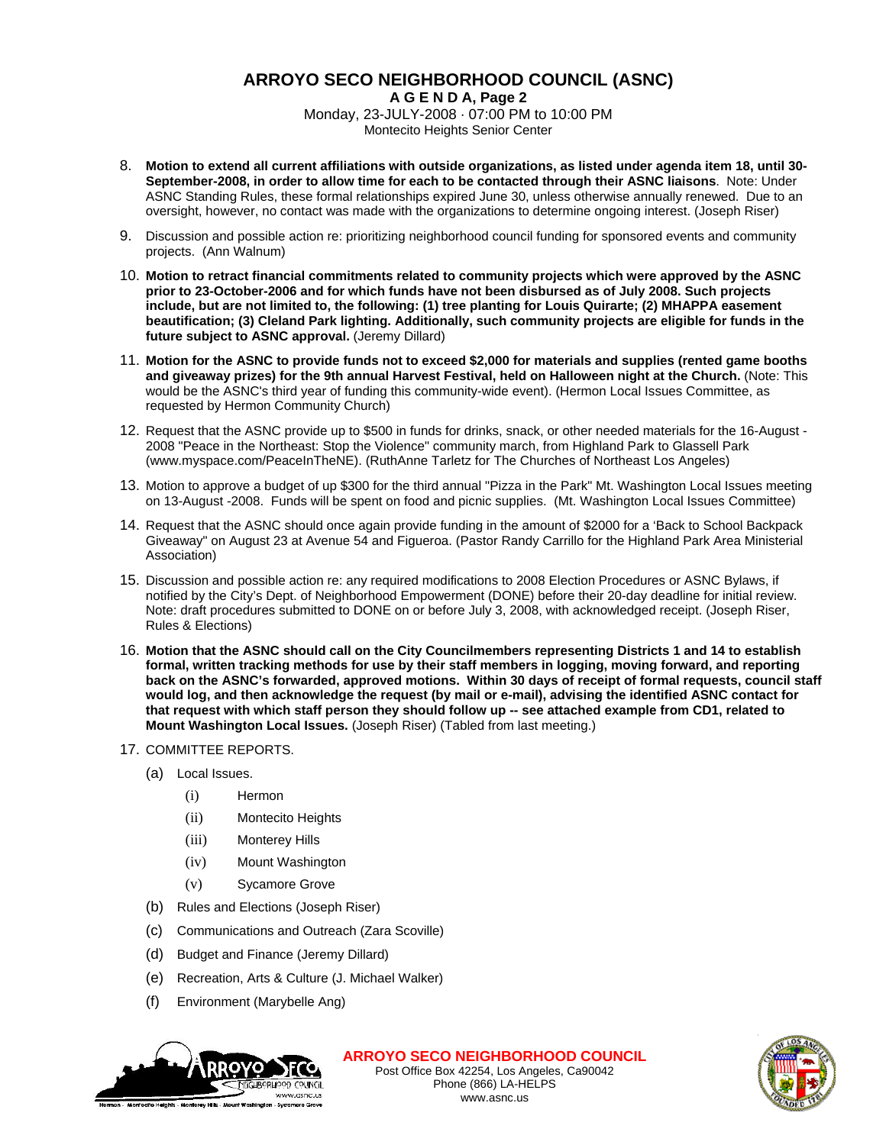# **ARROYO SECO NEIGHBORHOOD COUNCIL (ASNC)**

**A G E N D A, Page 2** Monday, 23-JULY-2008 · 07:00 PM to 10:00 PM Montecito Heights Senior Center

- 8. **Motion to extend all current affiliations with outside organizations, as listed under agenda item 18, until 30- September-2008, in order to allow time for each to be contacted through their ASNC liaisons**. Note: Under ASNC Standing Rules, these formal relationships expired June 30, unless otherwise annually renewed. Due to an oversight, however, no contact was made with the organizations to determine ongoing interest. (Joseph Riser)
- 9. Discussion and possible action re: prioritizing neighborhood council funding for sponsored events and community projects. (Ann Walnum)
- 10. **Motion to retract financial commitments related to community projects which were approved by the ASNC prior to 23-October-2006 and for which funds have not been disbursed as of July 2008. Such projects include, but are not limited to, the following: (1) tree planting for Louis Quirarte; (2) MHAPPA easement beautification; (3) Cleland Park lighting. Additionally, such community projects are eligible for funds in the future subject to ASNC approval.** (Jeremy Dillard)
- 11. **Motion for the ASNC to provide funds not to exceed \$2,000 for materials and supplies (rented game booths and giveaway prizes) for the 9th annual Harvest Festival, held on Halloween night at the Church.** (Note: This would be the ASNC's third year of funding this community-wide event). (Hermon Local Issues Committee, as requested by Hermon Community Church)
- 12. Request that the ASNC provide up to \$500 in funds for drinks, snack, or other needed materials for the 16-August 2008 "Peace in the Northeast: Stop the Violence" community march, from Highland Park to Glassell Park (www.myspace.com/PeaceInTheNE). (RuthAnne Tarletz for The Churches of Northeast Los Angeles)
- 13. Motion to approve a budget of up \$300 for the third annual "Pizza in the Park" Mt. Washington Local Issues meeting on 13-August -2008. Funds will be spent on food and picnic supplies. (Mt. Washington Local Issues Committee)
- 14. Request that the ASNC should once again provide funding in the amount of \$2000 for a 'Back to School Backpack Giveaway" on August 23 at Avenue 54 and Figueroa. (Pastor Randy Carrillo for the Highland Park Area Ministerial Association)
- 15. Discussion and possible action re: any required modifications to 2008 Election Procedures or ASNC Bylaws, if notified by the City's Dept. of Neighborhood Empowerment (DONE) before their 20-day deadline for initial review. Note: draft procedures submitted to DONE on or before July 3, 2008, with acknowledged receipt. (Joseph Riser, Rules & Elections)
- 16. **Motion that the ASNC should call on the City Councilmembers representing Districts 1 and 14 to establish formal, written tracking methods for use by their staff members in logging, moving forward, and reporting back on the ASNC's forwarded, approved motions. Within 30 days of receipt of formal requests, council staff would log, and then acknowledge the request (by mail or e-mail), advising the identified ASNC contact for that request with which staff person they should follow up -- see attached example from CD1, related to Mount Washington Local Issues.** (Joseph Riser) (Tabled from last meeting.)
- 17. COMMITTEE REPORTS.
	- (a) Local Issues.
		- (i) Hermon
		- (ii) Montecito Heights
		- (iii) Monterey Hills
		- (iv) Mount Washington
		- (v) Sycamore Grove
	- (b) Rules and Elections (Joseph Riser)
	- (c) Communications and Outreach (Zara Scoville)
	- (d) Budget and Finance (Jeremy Dillard)
	- (e) Recreation, Arts & Culture (J. Michael Walker)
	- (f) Environment (Marybelle Ang)



**ARROYO SECO NEIGHBORHOOD COUNCIL** Post Office Box 42254, Los Angeles, Ca90042 Phone (866) LA-HELPS www.asnc.us